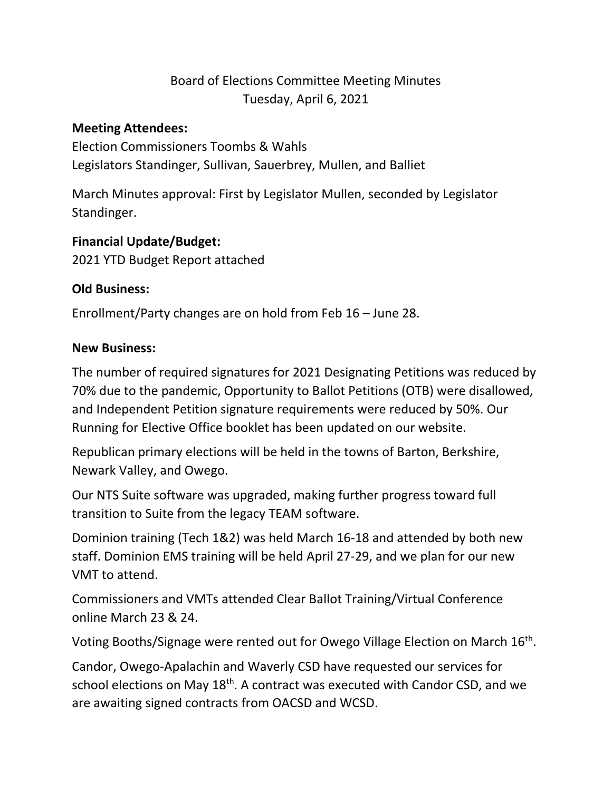# Board of Elections Committee Meeting Minutes Tuesday, April 6, 2021

#### **Meeting Attendees:**

Election Commissioners Toombs & Wahls Legislators Standinger, Sullivan, Sauerbrey, Mullen, and Balliet

March Minutes approval: First by Legislator Mullen, seconded by Legislator Standinger.

### **Financial Update/Budget:**

2021 YTD Budget Report attached

### **Old Business:**

Enrollment/Party changes are on hold from Feb 16 – June 28.

### **New Business:**

The number of required signatures for 2021 Designating Petitions was reduced by 70% due to the pandemic, Opportunity to Ballot Petitions (OTB) were disallowed, and Independent Petition signature requirements were reduced by 50%. Our Running for Elective Office booklet has been updated on our website.

Republican primary elections will be held in the towns of Barton, Berkshire, Newark Valley, and Owego.

Our NTS Suite software was upgraded, making further progress toward full transition to Suite from the legacy TEAM software.

Dominion training (Tech 1&2) was held March 16-18 and attended by both new staff. Dominion EMS training will be held April 27-29, and we plan for our new VMT to attend.

Commissioners and VMTs attended Clear Ballot Training/Virtual Conference online March 23 & 24.

Voting Booths/Signage were rented out for Owego Village Election on March 16<sup>th</sup>.

Candor, Owego-Apalachin and Waverly CSD have requested our services for school elections on May 18<sup>th</sup>. A contract was executed with Candor CSD, and we are awaiting signed contracts from OACSD and WCSD.